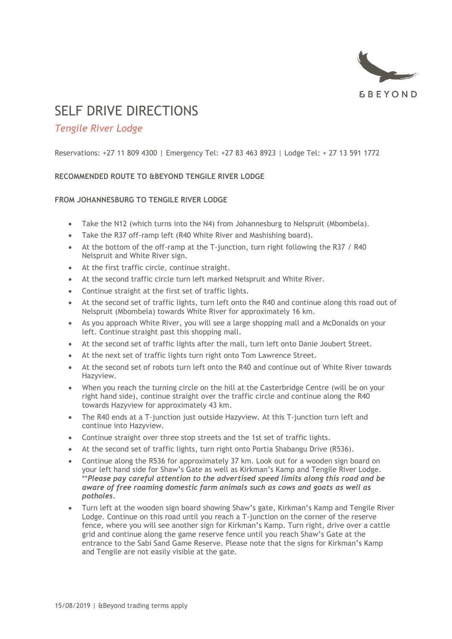

# SELF DRIVE DIRECTIONS

# *Tengile River Lodge*

Reservations: +27 11 809 4300 | Emergency Tel: +27 83 463 8923 | Lodge Tel: + 27 13 591 1772

# **RECOMMENDED ROUTE TO &BEYOND TENGILE RIVER LODGE**

## **FROM JOHANNESBURG TO TENGILE RIVER LODGE**

- Take the N12 (which turns into the N4) from Johannesburg to Nelspruit (Mbombela).
- Take the R37 off-ramp left (R40 White River and Mashishing board).
- At the bottom of the off-ramp at the T-junction, turn right following the R37 / R40 Nelspruit and White River sign.
- At the first traffic circle, continue straight.
- At the second traffic circle turn left marked Nelspruit and White River.
- Continue straight at the first set of traffic lights.
- At the second set of traffic lights, turn left onto the R40 and continue along this road out of Nelspruit (Mbombela) towards White River for approximately 16 km.
- As you approach White River, you will see a large shopping mall and a McDonalds on your left. Continue straight past this shopping mall.
- At the second set of traffic lights after the mall, turn left onto Danie Joubert Street.
- At the next set of traffic lights turn right onto Tom Lawrence Street.
- At the second set of robots turn left onto the R40 and continue out of White River towards Hazyview.
- When you reach the turning circle on the hill at the Casterbridge Centre (will be on your right hand side), continue straight over the traffic circle and continue along the R40 towards Hazyview for approximately 43 km.
- The R40 ends at a T-junction just outside Hazyview. At this T-junction turn left and continue into Hazyview.
- Continue straight over three stop streets and the 1st set of traffic lights.
- At the second set of traffic lights, turn right onto Portia Shabangu Drive (R536).
- Continue along the R536 for approximately 37 km. Look out for a wooden sign board on your left hand side for Shaw's Gate as well as Kirkman's Kamp and Tengile River Lodge. \*\**Please pay careful attention to the advertised speed limits along this road and be aware of free roaming domestic farm animals such as cows and goats as well as potholes.*
- Turn left at the wooden sign board showing Shaw's gate, Kirkman's Kamp and Tengile River Lodge. Continue on this road until you reach a T-junction on the corner of the reserve fence, where you will see another sign for Kirkman's Kamp. Turn right, drive over a cattle grid and continue along the game reserve fence until you reach Shaw's Gate at the entrance to the Sabi Sand Game Reserve. Please note that the signs for Kirkman's Kamp and Tengile are not easily visible at the gate.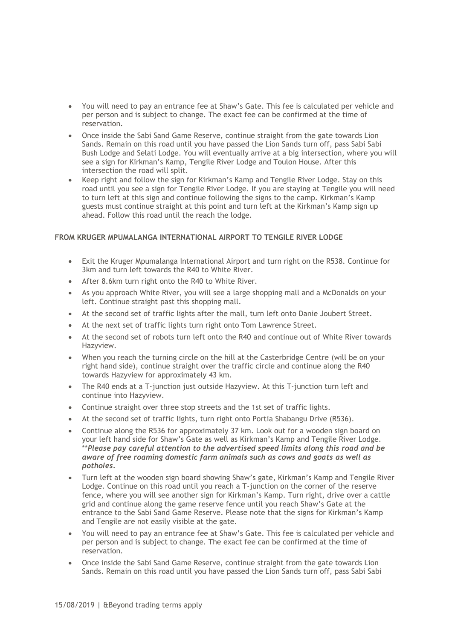- You will need to pay an entrance fee at Shaw's Gate. This fee is calculated per vehicle and per person and is subject to change. The exact fee can be confirmed at the time of reservation.
- Once inside the Sabi Sand Game Reserve, continue straight from the gate towards Lion Sands. Remain on this road until you have passed the Lion Sands turn off, pass Sabi Sabi Bush Lodge and Selati Lodge. You will eventually arrive at a big intersection, where you will see a sign for Kirkman's Kamp, Tengile River Lodge and Toulon House. After this intersection the road will split.
- Keep right and follow the sign for Kirkman's Kamp and Tengile River Lodge. Stay on this road until you see a sign for Tengile River Lodge. If you are staying at Tengile you will need to turn left at this sign and continue following the signs to the camp. Kirkman's Kamp guests must continue straight at this point and turn left at the Kirkman's Kamp sign up ahead. Follow this road until the reach the lodge.

### **FROM KRUGER MPUMALANGA INTERNATIONAL AIRPORT TO TENGILE RIVER LODGE**

- Exit the Kruger Mpumalanga International Airport and turn right on the R538. Continue for 3km and turn left towards the R40 to White River.
- After 8.6km turn right onto the R40 to White River.
- As you approach White River, you will see a large shopping mall and a McDonalds on your left. Continue straight past this shopping mall.
- At the second set of traffic lights after the mall, turn left onto Danie Joubert Street.
- At the next set of traffic lights turn right onto Tom Lawrence Street.
- At the second set of robots turn left onto the R40 and continue out of White River towards Hazyview.
- When you reach the turning circle on the hill at the Casterbridge Centre (will be on your right hand side), continue straight over the traffic circle and continue along the R40 towards Hazyview for approximately 43 km.
- The R40 ends at a T-junction just outside Hazyview. At this T-junction turn left and continue into Hazyview.
- Continue straight over three stop streets and the 1st set of traffic lights.
- At the second set of traffic lights, turn right onto Portia Shabangu Drive (R536).
- Continue along the R536 for approximately 37 km. Look out for a wooden sign board on your left hand side for Shaw's Gate as well as Kirkman's Kamp and Tengile River Lodge. \*\**Please pay careful attention to the advertised speed limits along this road and be aware of free roaming domestic farm animals such as cows and goats as well as potholes.*
- Turn left at the wooden sign board showing Shaw's gate, Kirkman's Kamp and Tengile River Lodge. Continue on this road until you reach a T-junction on the corner of the reserve fence, where you will see another sign for Kirkman's Kamp. Turn right, drive over a cattle grid and continue along the game reserve fence until you reach Shaw's Gate at the entrance to the Sabi Sand Game Reserve. Please note that the signs for Kirkman's Kamp and Tengile are not easily visible at the gate.
- You will need to pay an entrance fee at Shaw's Gate. This fee is calculated per vehicle and per person and is subject to change. The exact fee can be confirmed at the time of reservation.
- Once inside the Sabi Sand Game Reserve, continue straight from the gate towards Lion Sands. Remain on this road until you have passed the Lion Sands turn off, pass Sabi Sabi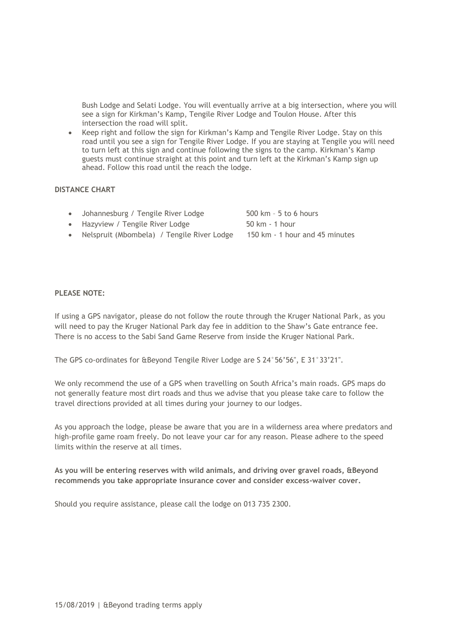Bush Lodge and Selati Lodge. You will eventually arrive at a big intersection, where you will see a sign for Kirkman's Kamp, Tengile River Lodge and Toulon House. After this intersection the road will split.

• Keep right and follow the sign for Kirkman's Kamp and Tengile River Lodge. Stay on this road until you see a sign for Tengile River Lodge. If you are staying at Tengile you will need to turn left at this sign and continue following the signs to the camp. Kirkman's Kamp guests must continue straight at this point and turn left at the Kirkman's Kamp sign up ahead. Follow this road until the reach the lodge.

#### **DISTANCE CHART**

- Johannesburg / Tengile River Lodge 500 km 5 to 6 hours
- Hazyview / Tengile River Lodge 50 km 1 hour
- Nelspruit (Mbombela) / Tengile River Lodge 150 km 1 hour and 45 minutes

#### **PLEASE NOTE:**

If using a GPS navigator, please do not follow the route through the Kruger National Park, as you will need to pay the Kruger National Park day fee in addition to the Shaw's Gate entrance fee. There is no access to the Sabi Sand Game Reserve from inside the Kruger National Park.

The GPS co-ordinates for &Beyond Tengile River Lodge are S 24°56'56", E 31°33'21".

We only recommend the use of a GPS when travelling on South Africa's main roads. GPS maps do not generally feature most dirt roads and thus we advise that you please take care to follow the travel directions provided at all times during your journey to our lodges.

As you approach the lodge, please be aware that you are in a wilderness area where predators and high-profile game roam freely. Do not leave your car for any reason. Please adhere to the speed limits within the reserve at all times.

**As you will be entering reserves with wild animals, and driving over gravel roads, &Beyond recommends you take appropriate insurance cover and consider excess-waiver cover.**

Should you require assistance, please call the lodge on 013 735 2300.